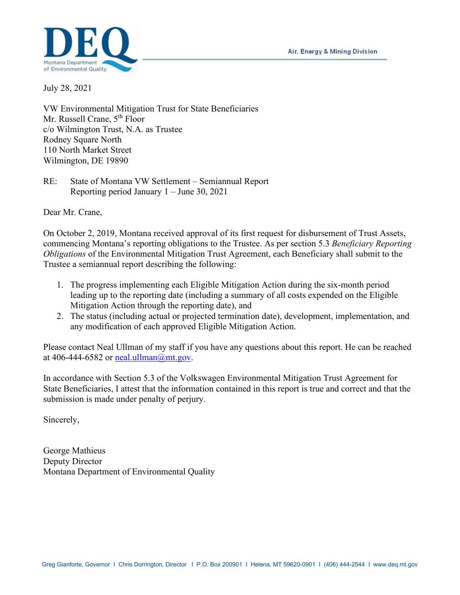Air, Energy & Mining Division



July 28, 2021

VW Environmental Mitigation Trust for State Beneficiaries Mr. Russell Crane, 5<sup>th</sup> Floor c/o Wilmington Trust, N.A. as Trustee Rodney Square North 110 North Market Street Wilmington, DE 19890

RE: State of Montana VW Settlement – Semiannual Report Reporting period January 1 – June 30, 2021

Dear Mr. Crane,

On October 2, 2019, Montana received approval of its first request for disbursement of Trust Assets, commencing Montana's reporting obligations to the Trustee. As per section 5.3 *Beneficiary Reporting Obligations* of the Environmental Mitigation Trust Agreement, each Beneficiary shall submit to the Trustee a semiannual report describing the following:

- 1. The progress implementing each Eligible Mitigation Action during the six-month period leading up to the reporting date (including a summary of all costs expended on the Eligible Mitigation Action through the reporting date), and
- 2. The status (including actual or projected termination date), development, implementation, and any modification of each approved Eligible Mitigation Action.

Please contact Neal Ullman of my staff if you have any questions about this report. He can be reached at 406-444-6582 or neal.ullman $@$ mt.gov.

In accordance with Section 5.3 of the Volkswagen Environmental Mitigation Trust Agreement for State Beneficiaries, I attest that the information contained in this report is true and correct and that the submission is made under penalty of perjury.

Sincerely,

George Mathieus Deputy Director Montana Department of Environmental Quality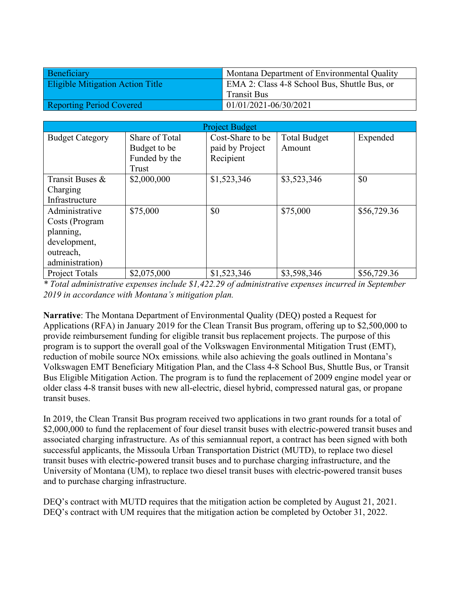| Beneficiary                             | Montana Department of Environmental Quality  |  |
|-----------------------------------------|----------------------------------------------|--|
| <b>Eligible Mitigation Action Title</b> | EMA 2: Class 4-8 School Bus, Shuttle Bus, or |  |
|                                         | <b>Transit Bus</b>                           |  |
| <b>Reporting Period Covered</b>         | 01/01/2021-06/30/2021                        |  |

| <b>Project Budget</b>                                                                         |                                                          |                                                  |                               |             |
|-----------------------------------------------------------------------------------------------|----------------------------------------------------------|--------------------------------------------------|-------------------------------|-------------|
| <b>Budget Category</b>                                                                        | Share of Total<br>Budget to be<br>Funded by the<br>Trust | Cost-Share to be<br>paid by Project<br>Recipient | <b>Total Budget</b><br>Amount | Expended    |
| Transit Buses &<br>Charging<br>Infrastructure                                                 | \$2,000,000                                              | \$1,523,346                                      | \$3,523,346                   | \$0         |
| Administrative<br>Costs (Program<br>planning,<br>development,<br>outreach,<br>administration) | \$75,000                                                 | \$0                                              | \$75,000                      | \$56,729.36 |
| Project Totals                                                                                | \$2,075,000                                              | \$1,523,346                                      | \$3,598,346                   | \$56,729.36 |

*\* Total administrative expenses include \$1,422.29 of administrative expenses incurred in September 2019 in accordance with Montana's mitigation plan.*

**Narrative**: The Montana Department of Environmental Quality (DEQ) posted a Request for Applications (RFA) in January 2019 for the Clean Transit Bus program, offering up to \$2,500,000 to provide reimbursement funding for eligible transit bus replacement projects. The purpose of this program is to support the overall goal of the Volkswagen Environmental Mitigation Trust (EMT), reduction of mobile source NOx emissions, while also achieving the goals outlined in Montana's Volkswagen EMT Beneficiary Mitigation Plan, and the Class 4-8 School Bus, Shuttle Bus, or Transit Bus Eligible Mitigation Action. The program is to fund the replacement of 2009 engine model year or older class 4-8 transit buses with new all-electric, diesel hybrid, compressed natural gas, or propane transit buses.

In 2019, the Clean Transit Bus program received two applications in two grant rounds for a total of \$2,000,000 to fund the replacement of four diesel transit buses with electric-powered transit buses and associated charging infrastructure. As of this semiannual report, a contract has been signed with both successful applicants, the Missoula Urban Transportation District (MUTD), to replace two diesel transit buses with electric-powered transit buses and to purchase charging infrastructure, and the University of Montana (UM), to replace two diesel transit buses with electric-powered transit buses and to purchase charging infrastructure.

DEQ's contract with MUTD requires that the mitigation action be completed by August 21, 2021. DEQ's contract with UM requires that the mitigation action be completed by October 31, 2022.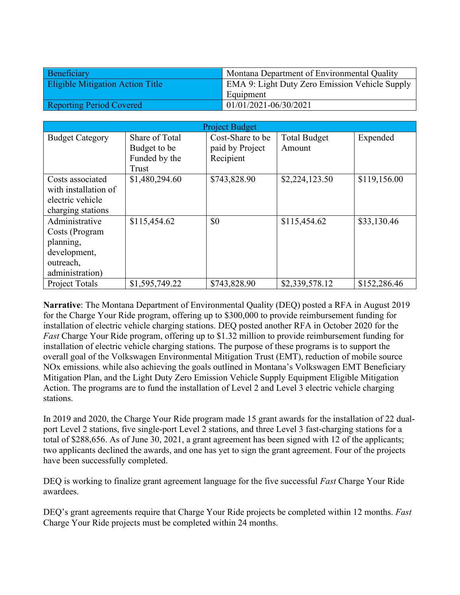| Beneficiary                             | Montana Department of Environmental Quality    |  |
|-----------------------------------------|------------------------------------------------|--|
| <b>Eligible Mitigation Action Title</b> | EMA 9: Light Duty Zero Emission Vehicle Supply |  |
|                                         | Equipment                                      |  |
| <b>Reporting Period Covered</b>         | 01/01/2021-06/30/2021                          |  |

| <b>Project Budget</b>                                                                         |                                                          |                                                  |                               |              |
|-----------------------------------------------------------------------------------------------|----------------------------------------------------------|--------------------------------------------------|-------------------------------|--------------|
| <b>Budget Category</b>                                                                        | Share of Total<br>Budget to be<br>Funded by the<br>Trust | Cost-Share to be<br>paid by Project<br>Recipient | <b>Total Budget</b><br>Amount | Expended     |
| Costs associated<br>with installation of<br>electric vehicle<br>charging stations             | \$1,480,294.60                                           | \$743,828.90                                     | \$2,224,123.50                | \$119,156.00 |
| Administrative<br>Costs (Program<br>planning,<br>development,<br>outreach,<br>administration) | \$115,454.62                                             | \$0                                              | \$115,454.62                  | \$33,130.46  |
| <b>Project Totals</b>                                                                         | \$1,595,749.22                                           | \$743,828.90                                     | \$2,339,578.12                | \$152,286.46 |

**Narrative**: The Montana Department of Environmental Quality (DEQ) posted a RFA in August 2019 for the Charge Your Ride program, offering up to \$300,000 to provide reimbursement funding for installation of electric vehicle charging stations. DEQ posted another RFA in October 2020 for the *Fast* Charge Your Ride program, offering up to \$1.32 million to provide reimbursement funding for installation of electric vehicle charging stations. The purpose of these programs is to support the overall goal of the Volkswagen Environmental Mitigation Trust (EMT), reduction of mobile source NOx emissions, while also achieving the goals outlined in Montana's Volkswagen EMT Beneficiary Mitigation Plan, and the Light Duty Zero Emission Vehicle Supply Equipment Eligible Mitigation Action. The programs are to fund the installation of Level 2 and Level 3 electric vehicle charging stations.

In 2019 and 2020, the Charge Your Ride program made 15 grant awards for the installation of 22 dualport Level 2 stations, five single-port Level 2 stations, and three Level 3 fast-charging stations for a total of \$288,656. As of June 30, 2021, a grant agreement has been signed with 12 of the applicants; two applicants declined the awards, and one has yet to sign the grant agreement. Four of the projects have been successfully completed.

DEQ is working to finalize grant agreement language for the five successful *Fast* Charge Your Ride awardees.

DEQ's grant agreements require that Charge Your Ride projects be completed within 12 months. *Fast* Charge Your Ride projects must be completed within 24 months.